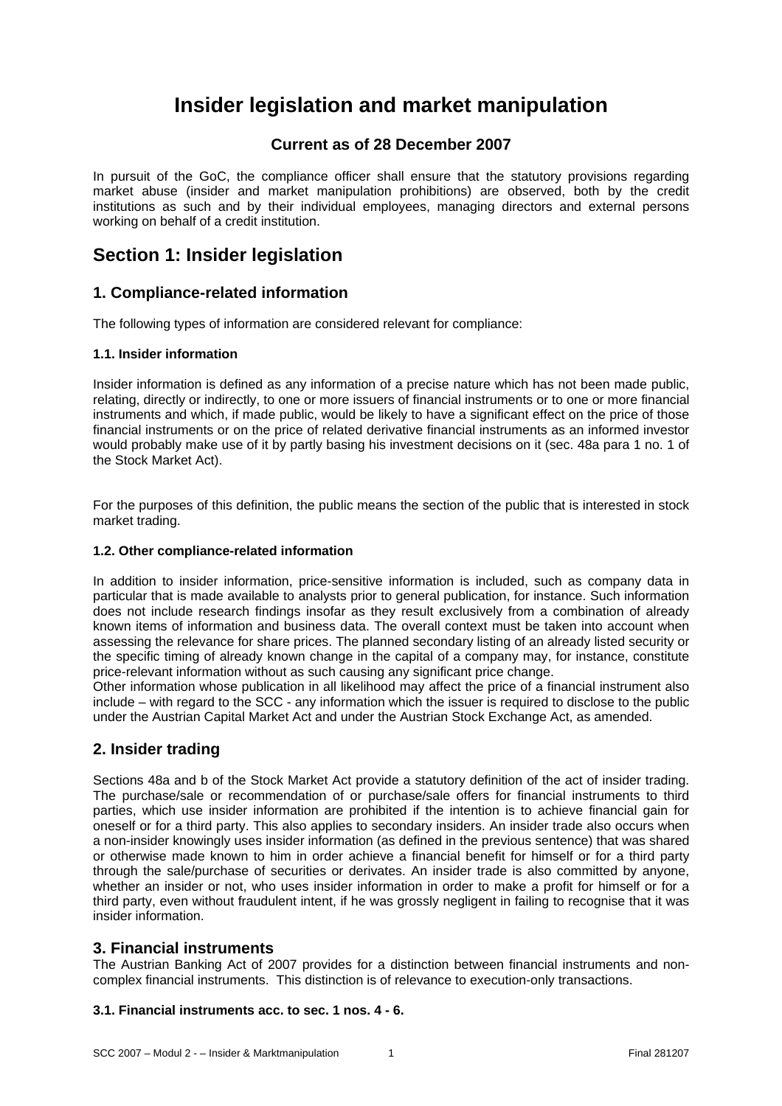# **Insider legislation and market manipulation**

# **Current as of 28 December 2007**

In pursuit of the GoC, the compliance officer shall ensure that the statutory provisions regarding market abuse (insider and market manipulation prohibitions) are observed, both by the credit institutions as such and by their individual employees, managing directors and external persons working on behalf of a credit institution.

# **Section 1: Insider legislation**

# **1. Compliance-related information**

The following types of information are considered relevant for compliance:

# **1.1. Insider information**

Insider information is defined as any information of a precise nature which has not been made public, relating, directly or indirectly, to one or more issuers of financial instruments or to one or more financial instruments and which, if made public, would be likely to have a significant effect on the price of those financial instruments or on the price of related derivative financial instruments as an informed investor would probably make use of it by partly basing his investment decisions on it (sec. 48a para 1 no. 1 of the Stock Market Act).

For the purposes of this definition, the public means the section of the public that is interested in stock market trading.

## **1.2. Other compliance-related information**

In addition to insider information, price-sensitive information is included, such as company data in particular that is made available to analysts prior to general publication, for instance. Such information does not include research findings insofar as they result exclusively from a combination of already known items of information and business data. The overall context must be taken into account when assessing the relevance for share prices. The planned secondary listing of an already listed security or the specific timing of already known change in the capital of a company may, for instance, constitute price-relevant information without as such causing any significant price change.

Other information whose publication in all likelihood may affect the price of a financial instrument also include – with regard to the SCC - any information which the issuer is required to disclose to the public under the Austrian Capital Market Act and under the Austrian Stock Exchange Act, as amended.

# **2. Insider trading**

Sections 48a and b of the Stock Market Act provide a statutory definition of the act of insider trading. The purchase/sale or recommendation of or purchase/sale offers for financial instruments to third parties, which use insider information are prohibited if the intention is to achieve financial gain for oneself or for a third party. This also applies to secondary insiders. An insider trade also occurs when a non-insider knowingly uses insider information (as defined in the previous sentence) that was shared or otherwise made known to him in order achieve a financial benefit for himself or for a third party through the sale/purchase of securities or derivates. An insider trade is also committed by anyone, whether an insider or not, who uses insider information in order to make a profit for himself or for a third party, even without fraudulent intent, if he was grossly negligent in failing to recognise that it was insider information.

# **3. Financial instruments**

The Austrian Banking Act of 2007 provides for a distinction between financial instruments and noncomplex financial instruments. This distinction is of relevance to execution-only transactions.

# **3.1. Financial instruments acc. to sec. 1 nos. 4 - 6.**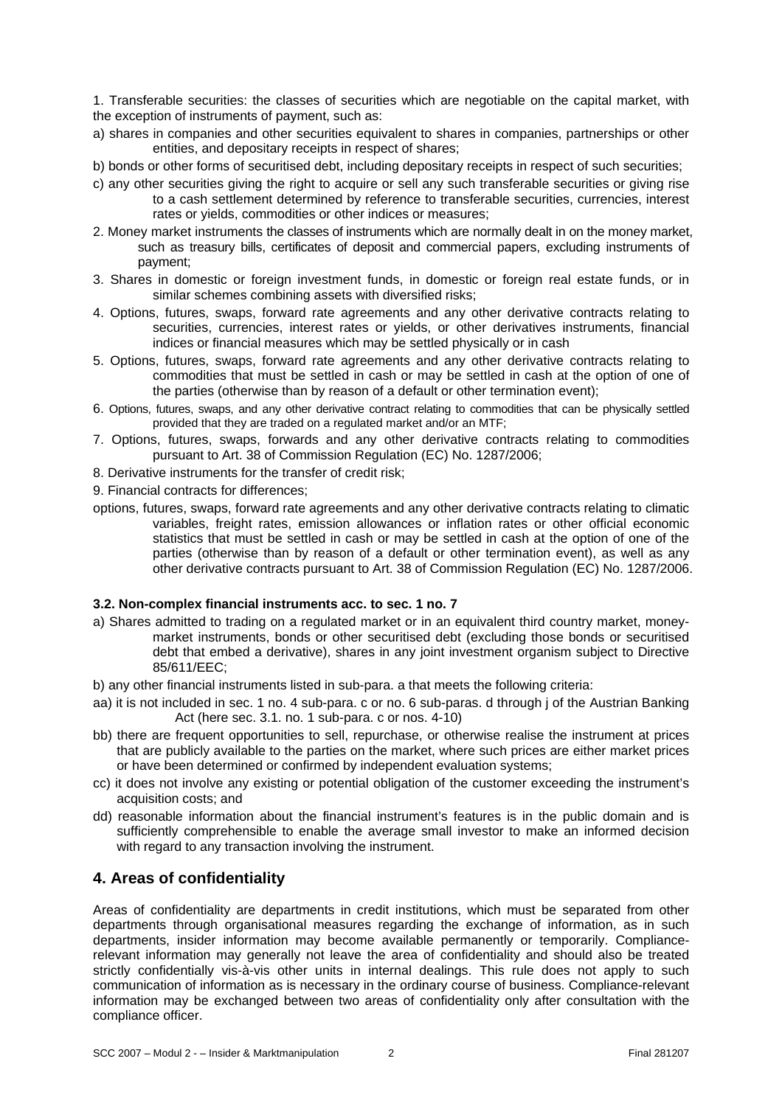1. Transferable securities: the classes of securities which are negotiable on the capital market, with the exception of instruments of payment, such as:

- a) shares in companies and other securities equivalent to shares in companies, partnerships or other entities, and depositary receipts in respect of shares;
- b) bonds or other forms of securitised debt, including depositary receipts in respect of such securities;
- c) any other securities giving the right to acquire or sell any such transferable securities or giving rise to a cash settlement determined by reference to transferable securities, currencies, interest rates or yields, commodities or other indices or measures;
- 2. Money market instruments the classes of instruments which are normally dealt in on the money market, such as treasury bills, certificates of deposit and commercial papers, excluding instruments of payment;
- 3. Shares in domestic or foreign investment funds, in domestic or foreign real estate funds, or in similar schemes combining assets with diversified risks;
- 4. Options, futures, swaps, forward rate agreements and any other derivative contracts relating to securities, currencies, interest rates or yields, or other derivatives instruments, financial indices or financial measures which may be settled physically or in cash
- 5. Options, futures, swaps, forward rate agreements and any other derivative contracts relating to commodities that must be settled in cash or may be settled in cash at the option of one of the parties (otherwise than by reason of a default or other termination event);
- 6. Options, futures, swaps, and any other derivative contract relating to commodities that can be physically settled provided that they are traded on a regulated market and/or an MTF;
- 7. Options, futures, swaps, forwards and any other derivative contracts relating to commodities pursuant to Art. 38 of Commission Regulation (EC) No. 1287/2006;
- 8. Derivative instruments for the transfer of credit risk;
- 9. Financial contracts for differences;
- options, futures, swaps, forward rate agreements and any other derivative contracts relating to climatic variables, freight rates, emission allowances or inflation rates or other official economic statistics that must be settled in cash or may be settled in cash at the option of one of the parties (otherwise than by reason of a default or other termination event), as well as any other derivative contracts pursuant to Art. 38 of Commission Regulation (EC) No. 1287/2006.

# **3.2. Non-complex financial instruments acc. to sec. 1 no. 7**

- a) Shares admitted to trading on a regulated market or in an equivalent third country market, moneymarket instruments, bonds or other securitised debt (excluding those bonds or securitised debt that embed a derivative), shares in any joint investment organism subject to Directive 85/611/EEC;
- b) any other financial instruments listed in sub-para. a that meets the following criteria:
- aa) it is not included in sec. 1 no. 4 sub-para. c or no. 6 sub-paras. d through j of the Austrian Banking Act (here sec. 3.1. no. 1 sub-para. c or nos. 4-10)
- bb) there are frequent opportunities to sell, repurchase, or otherwise realise the instrument at prices that are publicly available to the parties on the market, where such prices are either market prices or have been determined or confirmed by independent evaluation systems;
- cc) it does not involve any existing or potential obligation of the customer exceeding the instrument's acquisition costs; and
- dd) reasonable information about the financial instrument's features is in the public domain and is sufficiently comprehensible to enable the average small investor to make an informed decision with regard to any transaction involving the instrument.

# **4. Areas of confidentiality**

Areas of confidentiality are departments in credit institutions, which must be separated from other departments through organisational measures regarding the exchange of information, as in such departments, insider information may become available permanently or temporarily. Compliancerelevant information may generally not leave the area of confidentiality and should also be treated strictly confidentially vis-à-vis other units in internal dealings. This rule does not apply to such communication of information as is necessary in the ordinary course of business. Compliance-relevant information may be exchanged between two areas of confidentiality only after consultation with the compliance officer.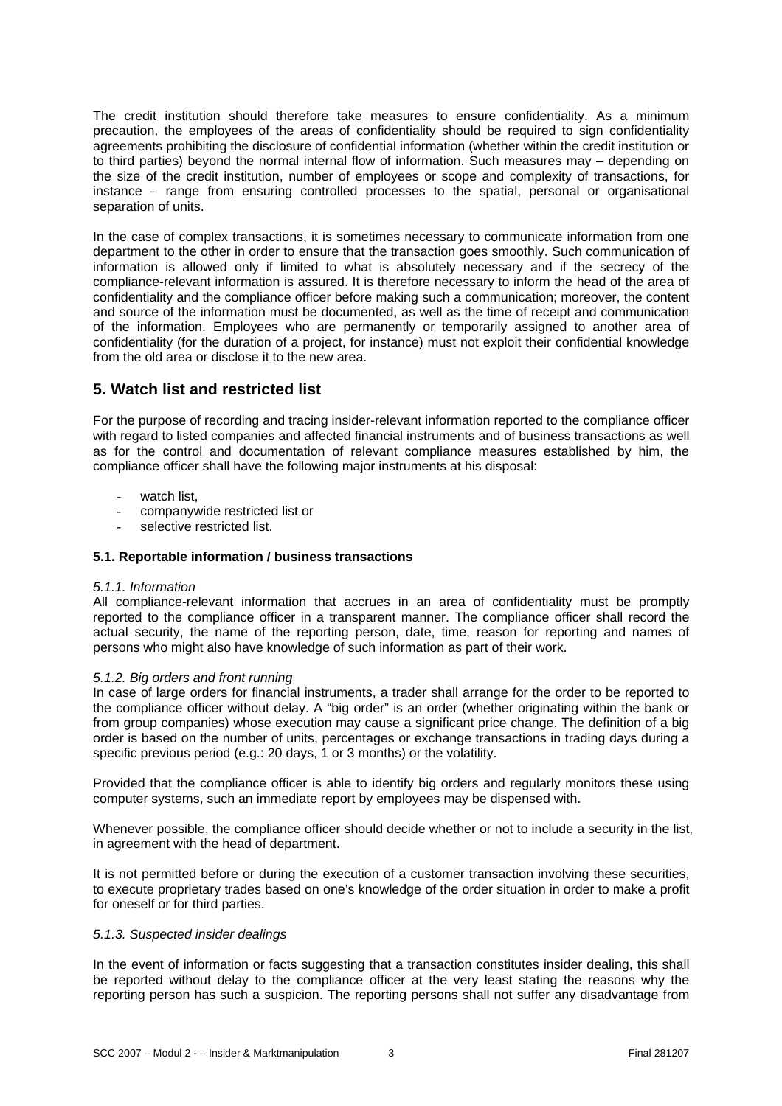The credit institution should therefore take measures to ensure confidentiality. As a minimum precaution, the employees of the areas of confidentiality should be required to sign confidentiality agreements prohibiting the disclosure of confidential information (whether within the credit institution or to third parties) beyond the normal internal flow of information. Such measures may – depending on the size of the credit institution, number of employees or scope and complexity of transactions, for instance – range from ensuring controlled processes to the spatial, personal or organisational separation of units.

In the case of complex transactions, it is sometimes necessary to communicate information from one department to the other in order to ensure that the transaction goes smoothly. Such communication of information is allowed only if limited to what is absolutely necessary and if the secrecy of the compliance-relevant information is assured. It is therefore necessary to inform the head of the area of confidentiality and the compliance officer before making such a communication; moreover, the content and source of the information must be documented, as well as the time of receipt and communication of the information. Employees who are permanently or temporarily assigned to another area of confidentiality (for the duration of a project, for instance) must not exploit their confidential knowledge from the old area or disclose it to the new area.

# **5. Watch list and restricted list**

For the purpose of recording and tracing insider-relevant information reported to the compliance officer with regard to listed companies and affected financial instruments and of business transactions as well as for the control and documentation of relevant compliance measures established by him, the compliance officer shall have the following major instruments at his disposal:

- watch list,
- companywide restricted list or
- selective restricted list.

## **5.1. Reportable information / business transactions**

#### *5.1.1. Information*

All compliance-relevant information that accrues in an area of confidentiality must be promptly reported to the compliance officer in a transparent manner. The compliance officer shall record the actual security, the name of the reporting person, date, time, reason for reporting and names of persons who might also have knowledge of such information as part of their work.

#### *5.1.2. Big orders and front running*

In case of large orders for financial instruments, a trader shall arrange for the order to be reported to the compliance officer without delay. A "big order" is an order (whether originating within the bank or from group companies) whose execution may cause a significant price change. The definition of a big order is based on the number of units, percentages or exchange transactions in trading days during a specific previous period (e.g.: 20 days, 1 or 3 months) or the volatility.

Provided that the compliance officer is able to identify big orders and regularly monitors these using computer systems, such an immediate report by employees may be dispensed with.

Whenever possible, the compliance officer should decide whether or not to include a security in the list, in agreement with the head of department.

It is not permitted before or during the execution of a customer transaction involving these securities, to execute proprietary trades based on one's knowledge of the order situation in order to make a profit for oneself or for third parties.

#### *5.1.3. Suspected insider dealings*

In the event of information or facts suggesting that a transaction constitutes insider dealing, this shall be reported without delay to the compliance officer at the very least stating the reasons why the reporting person has such a suspicion. The reporting persons shall not suffer any disadvantage from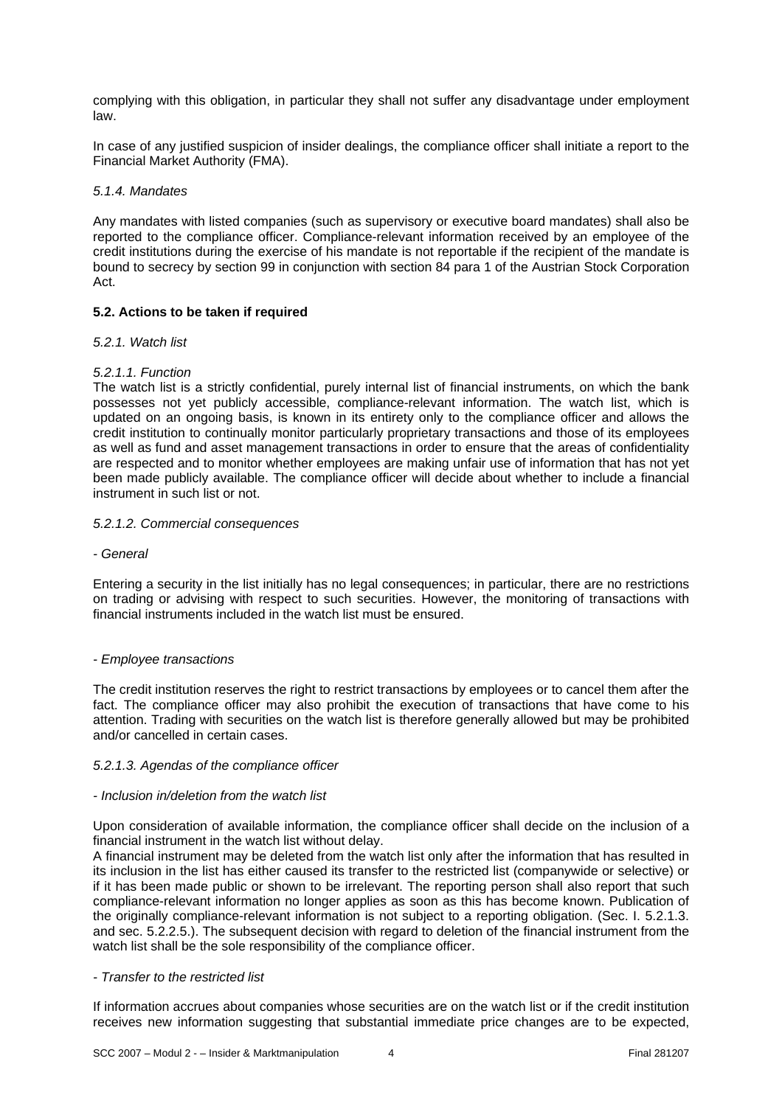complying with this obligation, in particular they shall not suffer any disadvantage under employment law.

In case of any justified suspicion of insider dealings, the compliance officer shall initiate a report to the Financial Market Authority (FMA).

## *5.1.4. Mandates*

Any mandates with listed companies (such as supervisory or executive board mandates) shall also be reported to the compliance officer. Compliance-relevant information received by an employee of the credit institutions during the exercise of his mandate is not reportable if the recipient of the mandate is bound to secrecy by section 99 in conjunction with section 84 para 1 of the Austrian Stock Corporation Act.

## **5.2. Actions to be taken if required**

#### *5.2.1. Watch list*

## *5.2.1.1. Function*

The watch list is a strictly confidential, purely internal list of financial instruments, on which the bank possesses not yet publicly accessible, compliance-relevant information. The watch list, which is updated on an ongoing basis, is known in its entirety only to the compliance officer and allows the credit institution to continually monitor particularly proprietary transactions and those of its employees as well as fund and asset management transactions in order to ensure that the areas of confidentiality are respected and to monitor whether employees are making unfair use of information that has not yet been made publicly available. The compliance officer will decide about whether to include a financial instrument in such list or not.

#### *5.2.1.2. Commercial consequences*

*- General* 

Entering a security in the list initially has no legal consequences; in particular, there are no restrictions on trading or advising with respect to such securities. However, the monitoring of transactions with financial instruments included in the watch list must be ensured.

#### *- Employee transactions*

The credit institution reserves the right to restrict transactions by employees or to cancel them after the fact. The compliance officer may also prohibit the execution of transactions that have come to his attention. Trading with securities on the watch list is therefore generally allowed but may be prohibited and/or cancelled in certain cases.

#### *5.2.1.3. Agendas of the compliance officer*

#### *- Inclusion in/deletion from the watch list*

Upon consideration of available information, the compliance officer shall decide on the inclusion of a financial instrument in the watch list without delay.

A financial instrument may be deleted from the watch list only after the information that has resulted in its inclusion in the list has either caused its transfer to the restricted list (companywide or selective) or if it has been made public or shown to be irrelevant. The reporting person shall also report that such compliance-relevant information no longer applies as soon as this has become known. Publication of the originally compliance-relevant information is not subject to a reporting obligation. (Sec. I. 5.2.1.3. and sec. 5.2.2.5.). The subsequent decision with regard to deletion of the financial instrument from the watch list shall be the sole responsibility of the compliance officer.

#### *- Transfer to the restricted list*

If information accrues about companies whose securities are on the watch list or if the credit institution receives new information suggesting that substantial immediate price changes are to be expected,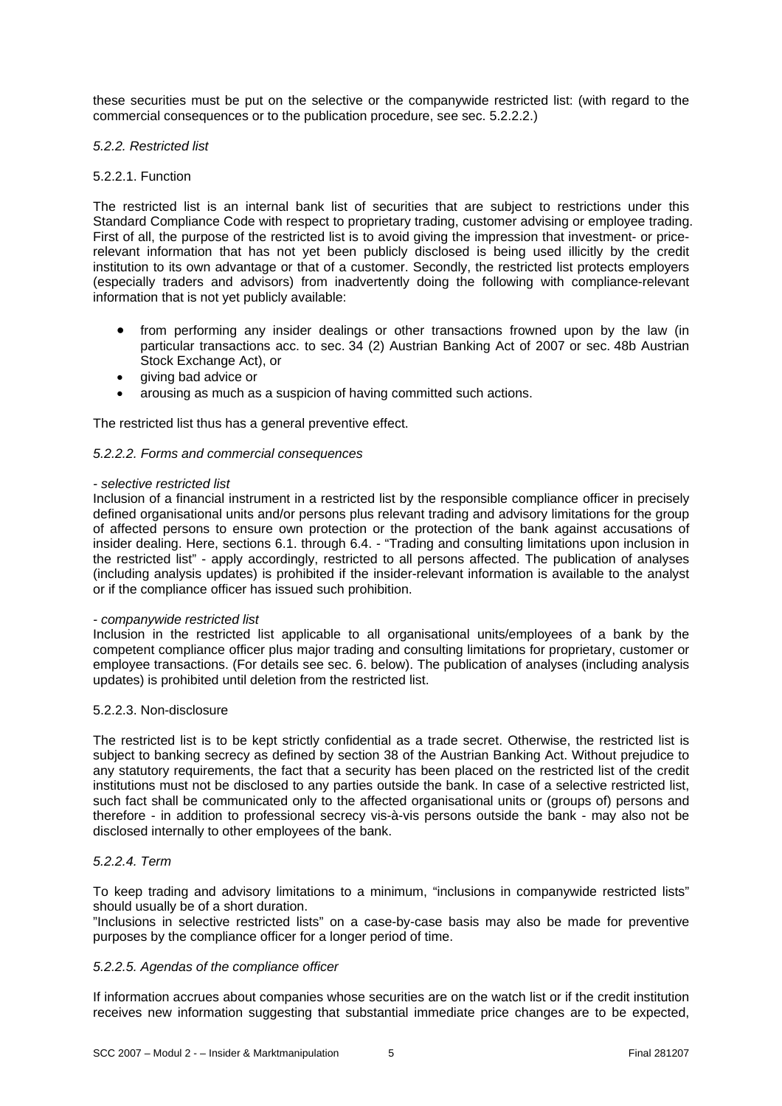these securities must be put on the selective or the companywide restricted list: (with regard to the commercial consequences or to the publication procedure, see sec. 5.2.2.2.)

#### *5.2.2. Restricted list*

#### 5.2.2.1. Function

The restricted list is an internal bank list of securities that are subject to restrictions under this Standard Compliance Code with respect to proprietary trading, customer advising or employee trading. First of all, the purpose of the restricted list is to avoid giving the impression that investment- or pricerelevant information that has not yet been publicly disclosed is being used illicitly by the credit institution to its own advantage or that of a customer. Secondly, the restricted list protects employers (especially traders and advisors) from inadvertently doing the following with compliance-relevant information that is not yet publicly available:

- from performing any insider dealings or other transactions frowned upon by the law (in particular transactions acc. to sec. 34 (2) Austrian Banking Act of 2007 or sec. 48b Austrian Stock Exchange Act), or
- giving bad advice or
- arousing as much as a suspicion of having committed such actions.

The restricted list thus has a general preventive effect.

#### *5.2.2.2. Forms and commercial consequences*

#### *- selective restricted list*

Inclusion of a financial instrument in a restricted list by the responsible compliance officer in precisely defined organisational units and/or persons plus relevant trading and advisory limitations for the group of affected persons to ensure own protection or the protection of the bank against accusations of insider dealing. Here, sections 6.1. through 6.4. - "Trading and consulting limitations upon inclusion in the restricted list" - apply accordingly, restricted to all persons affected. The publication of analyses (including analysis updates) is prohibited if the insider-relevant information is available to the analyst or if the compliance officer has issued such prohibition.

#### *- companywide restricted list*

Inclusion in the restricted list applicable to all organisational units/employees of a bank by the competent compliance officer plus major trading and consulting limitations for proprietary, customer or employee transactions. (For details see sec. 6. below). The publication of analyses (including analysis updates) is prohibited until deletion from the restricted list.

#### 5.2.2.3. Non-disclosure

The restricted list is to be kept strictly confidential as a trade secret. Otherwise, the restricted list is subject to banking secrecy as defined by section 38 of the Austrian Banking Act. Without prejudice to any statutory requirements, the fact that a security has been placed on the restricted list of the credit institutions must not be disclosed to any parties outside the bank. In case of a selective restricted list, such fact shall be communicated only to the affected organisational units or (groups of) persons and therefore - in addition to professional secrecy vis-à-vis persons outside the bank - may also not be disclosed internally to other employees of the bank.

## *5.2.2.4. Term*

To keep trading and advisory limitations to a minimum, "inclusions in companywide restricted lists" should usually be of a short duration.

"Inclusions in selective restricted lists" on a case-by-case basis may also be made for preventive purposes by the compliance officer for a longer period of time.

#### *5.2.2.5. Agendas of the compliance officer*

If information accrues about companies whose securities are on the watch list or if the credit institution receives new information suggesting that substantial immediate price changes are to be expected,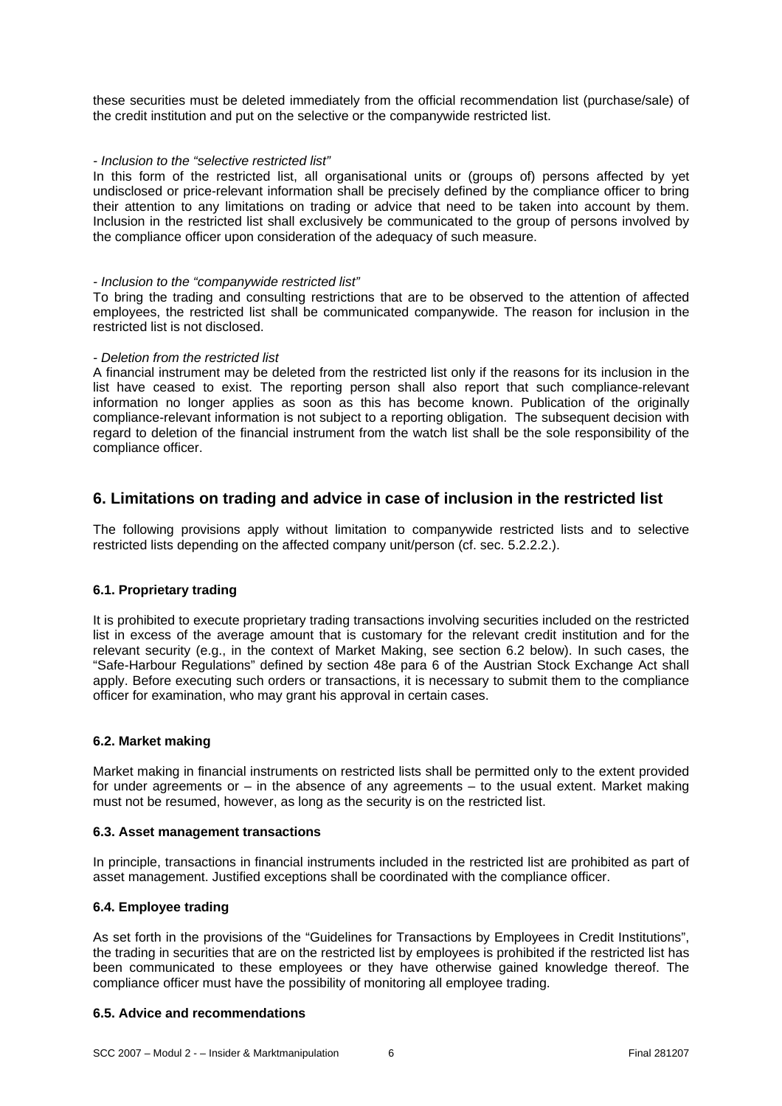these securities must be deleted immediately from the official recommendation list (purchase/sale) of the credit institution and put on the selective or the companywide restricted list.

#### *- Inclusion to the "selective restricted list"*

In this form of the restricted list, all organisational units or (groups of) persons affected by yet undisclosed or price-relevant information shall be precisely defined by the compliance officer to bring their attention to any limitations on trading or advice that need to be taken into account by them. Inclusion in the restricted list shall exclusively be communicated to the group of persons involved by the compliance officer upon consideration of the adequacy of such measure.

#### *- Inclusion to the "companywide restricted list"*

To bring the trading and consulting restrictions that are to be observed to the attention of affected employees, the restricted list shall be communicated companywide. The reason for inclusion in the restricted list is not disclosed.

#### *- Deletion from the restricted list*

A financial instrument may be deleted from the restricted list only if the reasons for its inclusion in the list have ceased to exist. The reporting person shall also report that such compliance-relevant information no longer applies as soon as this has become known. Publication of the originally compliance-relevant information is not subject to a reporting obligation. The subsequent decision with regard to deletion of the financial instrument from the watch list shall be the sole responsibility of the compliance officer.

# **6. Limitations on trading and advice in case of inclusion in the restricted list**

The following provisions apply without limitation to companywide restricted lists and to selective restricted lists depending on the affected company unit/person (cf. sec. 5.2.2.2.).

#### **6.1. Proprietary trading**

It is prohibited to execute proprietary trading transactions involving securities included on the restricted list in excess of the average amount that is customary for the relevant credit institution and for the relevant security (e.g., in the context of Market Making, see section 6.2 below). In such cases, the "Safe-Harbour Regulations" defined by section 48e para 6 of the Austrian Stock Exchange Act shall apply. Before executing such orders or transactions, it is necessary to submit them to the compliance officer for examination, who may grant his approval in certain cases.

#### **6.2. Market making**

Market making in financial instruments on restricted lists shall be permitted only to the extent provided for under agreements or – in the absence of any agreements – to the usual extent. Market making must not be resumed, however, as long as the security is on the restricted list.

#### **6.3. Asset management transactions**

In principle, transactions in financial instruments included in the restricted list are prohibited as part of asset management. Justified exceptions shall be coordinated with the compliance officer.

#### **6.4. Employee trading**

As set forth in the provisions of the "Guidelines for Transactions by Employees in Credit Institutions", the trading in securities that are on the restricted list by employees is prohibited if the restricted list has been communicated to these employees or they have otherwise gained knowledge thereof. The compliance officer must have the possibility of monitoring all employee trading.

#### **6.5. Advice and recommendations**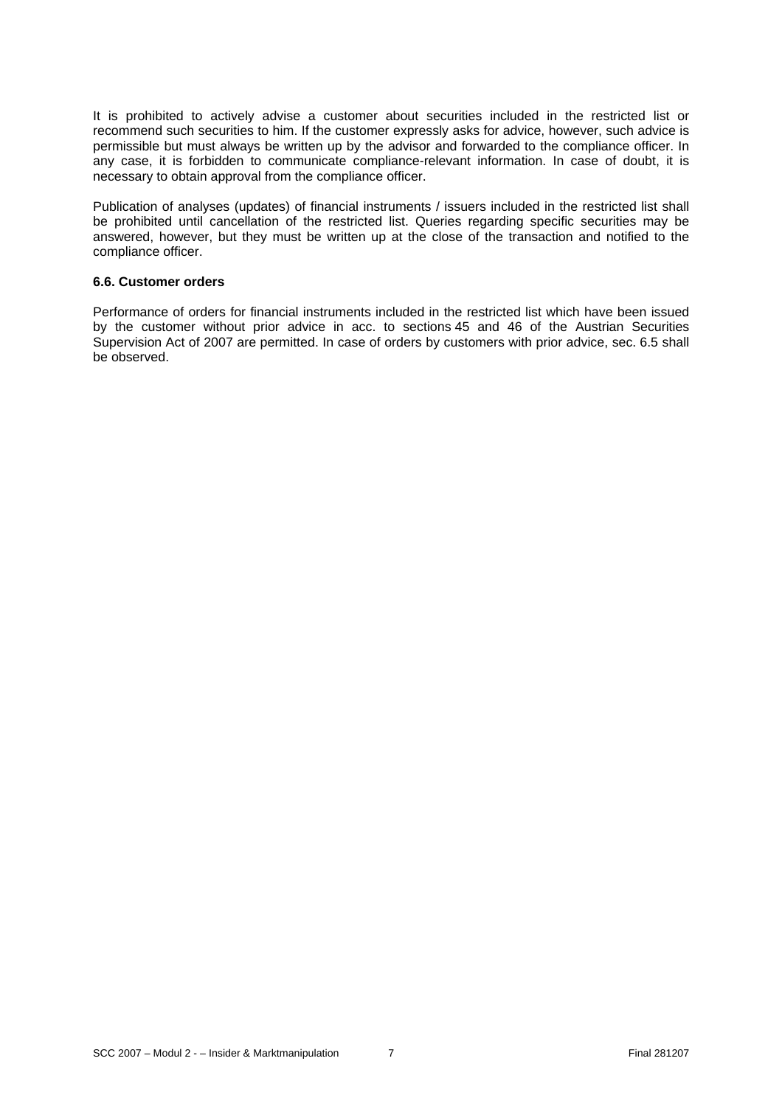It is prohibited to actively advise a customer about securities included in the restricted list or recommend such securities to him. If the customer expressly asks for advice, however, such advice is permissible but must always be written up by the advisor and forwarded to the compliance officer. In any case, it is forbidden to communicate compliance-relevant information. In case of doubt, it is necessary to obtain approval from the compliance officer.

Publication of analyses (updates) of financial instruments / issuers included in the restricted list shall be prohibited until cancellation of the restricted list. Queries regarding specific securities may be answered, however, but they must be written up at the close of the transaction and notified to the compliance officer.

#### **6.6. Customer orders**

Performance of orders for financial instruments included in the restricted list which have been issued by the customer without prior advice in acc. to sections 45 and 46 of the Austrian Securities Supervision Act of 2007 are permitted. In case of orders by customers with prior advice, sec. 6.5 shall be observed.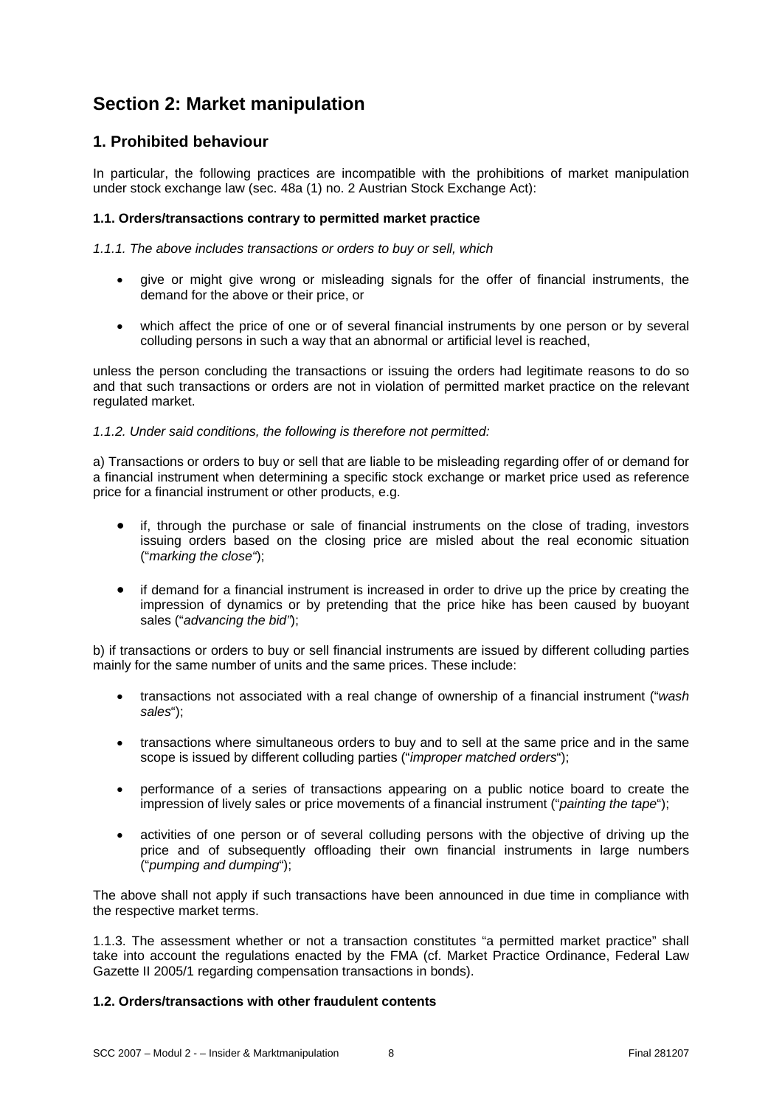# **Section 2: Market manipulation**

# **1. Prohibited behaviour**

In particular, the following practices are incompatible with the prohibitions of market manipulation under stock exchange law (sec. 48a (1) no. 2 Austrian Stock Exchange Act):

# **1.1. Orders/transactions contrary to permitted market practice**

*1.1.1. The above includes transactions or orders to buy or sell, which* 

- give or might give wrong or misleading signals for the offer of financial instruments, the demand for the above or their price, or
- which affect the price of one or of several financial instruments by one person or by several colluding persons in such a way that an abnormal or artificial level is reached,

unless the person concluding the transactions or issuing the orders had legitimate reasons to do so and that such transactions or orders are not in violation of permitted market practice on the relevant regulated market.

# *1.1.2. Under said conditions, the following is therefore not permitted:*

a) Transactions or orders to buy or sell that are liable to be misleading regarding offer of or demand for a financial instrument when determining a specific stock exchange or market price used as reference price for a financial instrument or other products, e.g.

- if, through the purchase or sale of financial instruments on the close of trading, investors issuing orders based on the closing price are misled about the real economic situation ("*marking the close"*);
- if demand for a financial instrument is increased in order to drive up the price by creating the impression of dynamics or by pretending that the price hike has been caused by buoyant sales ("*advancing the bid"*);

b) if transactions or orders to buy or sell financial instruments are issued by different colluding parties mainly for the same number of units and the same prices. These include:

- transactions not associated with a real change of ownership of a financial instrument ("*wash sales*");
- transactions where simultaneous orders to buy and to sell at the same price and in the same scope is issued by different colluding parties ("*improper matched orders*");
- performance of a series of transactions appearing on a public notice board to create the impression of lively sales or price movements of a financial instrument ("*painting the tape*");
- activities of one person or of several colluding persons with the objective of driving up the price and of subsequently offloading their own financial instruments in large numbers ("*pumping and dumping*");

The above shall not apply if such transactions have been announced in due time in compliance with the respective market terms.

1.1.3. The assessment whether or not a transaction constitutes "a permitted market practice" shall take into account the regulations enacted by the FMA (cf. Market Practice Ordinance, Federal Law Gazette II 2005/1 regarding compensation transactions in bonds).

# **1.2. Orders/transactions with other fraudulent contents**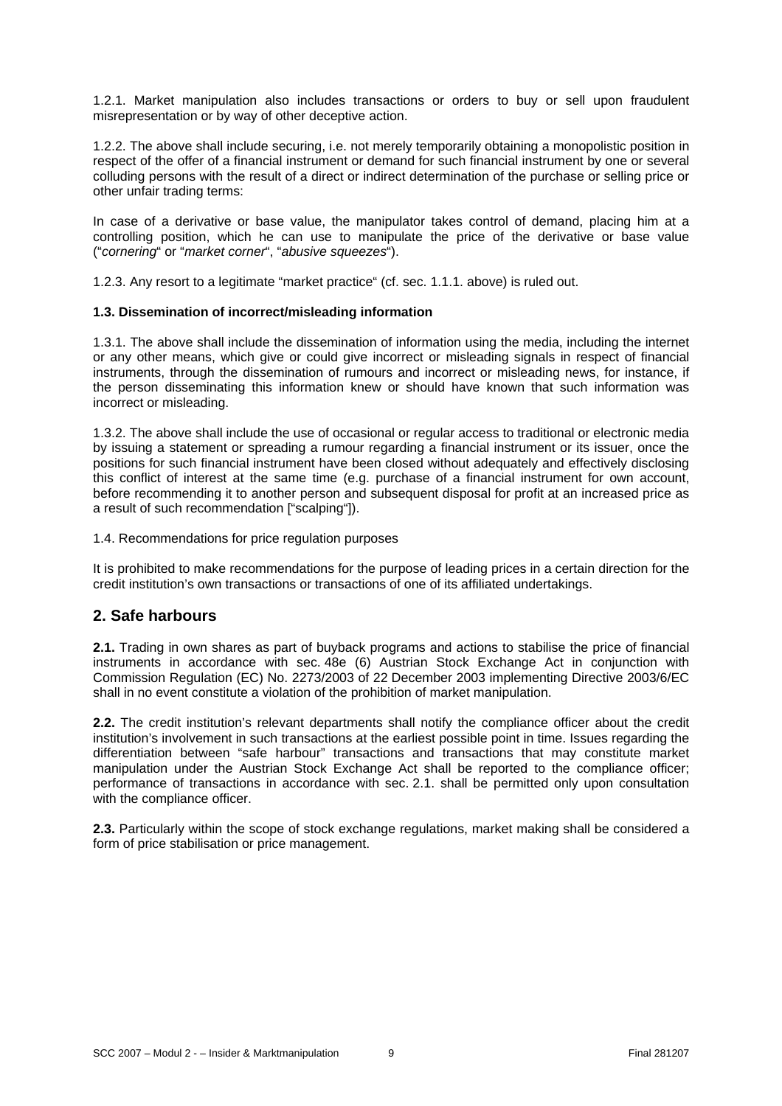1.2.1. Market manipulation also includes transactions or orders to buy or sell upon fraudulent misrepresentation or by way of other deceptive action.

1.2.2. The above shall include securing, i.e. not merely temporarily obtaining a monopolistic position in respect of the offer of a financial instrument or demand for such financial instrument by one or several colluding persons with the result of a direct or indirect determination of the purchase or selling price or other unfair trading terms:

In case of a derivative or base value, the manipulator takes control of demand, placing him at a controlling position, which he can use to manipulate the price of the derivative or base value ("*cornering*" or "*market corner*", "*abusive squeezes*").

1.2.3. Any resort to a legitimate "market practice" (cf. sec. 1.1.1. above) is ruled out.

## **1.3. Dissemination of incorrect/misleading information**

1.3.1. The above shall include the dissemination of information using the media, including the internet or any other means, which give or could give incorrect or misleading signals in respect of financial instruments, through the dissemination of rumours and incorrect or misleading news, for instance, if the person disseminating this information knew or should have known that such information was incorrect or misleading.

1.3.2. The above shall include the use of occasional or regular access to traditional or electronic media by issuing a statement or spreading a rumour regarding a financial instrument or its issuer, once the positions for such financial instrument have been closed without adequately and effectively disclosing this conflict of interest at the same time (e.g. purchase of a financial instrument for own account, before recommending it to another person and subsequent disposal for profit at an increased price as a result of such recommendation ["scalping"]).

1.4. Recommendations for price regulation purposes

It is prohibited to make recommendations for the purpose of leading prices in a certain direction for the credit institution's own transactions or transactions of one of its affiliated undertakings.

# **2. Safe harbours**

**2.1.** Trading in own shares as part of buyback programs and actions to stabilise the price of financial instruments in accordance with sec. 48e (6) Austrian Stock Exchange Act in conjunction with Commission Regulation (EC) No. 2273/2003 of 22 December 2003 implementing Directive 2003/6/EC shall in no event constitute a violation of the prohibition of market manipulation.

**2.2.** The credit institution's relevant departments shall notify the compliance officer about the credit institution's involvement in such transactions at the earliest possible point in time. Issues regarding the differentiation between "safe harbour" transactions and transactions that may constitute market manipulation under the Austrian Stock Exchange Act shall be reported to the compliance officer; performance of transactions in accordance with sec. 2.1. shall be permitted only upon consultation with the compliance officer.

**2.3.** Particularly within the scope of stock exchange regulations, market making shall be considered a form of price stabilisation or price management.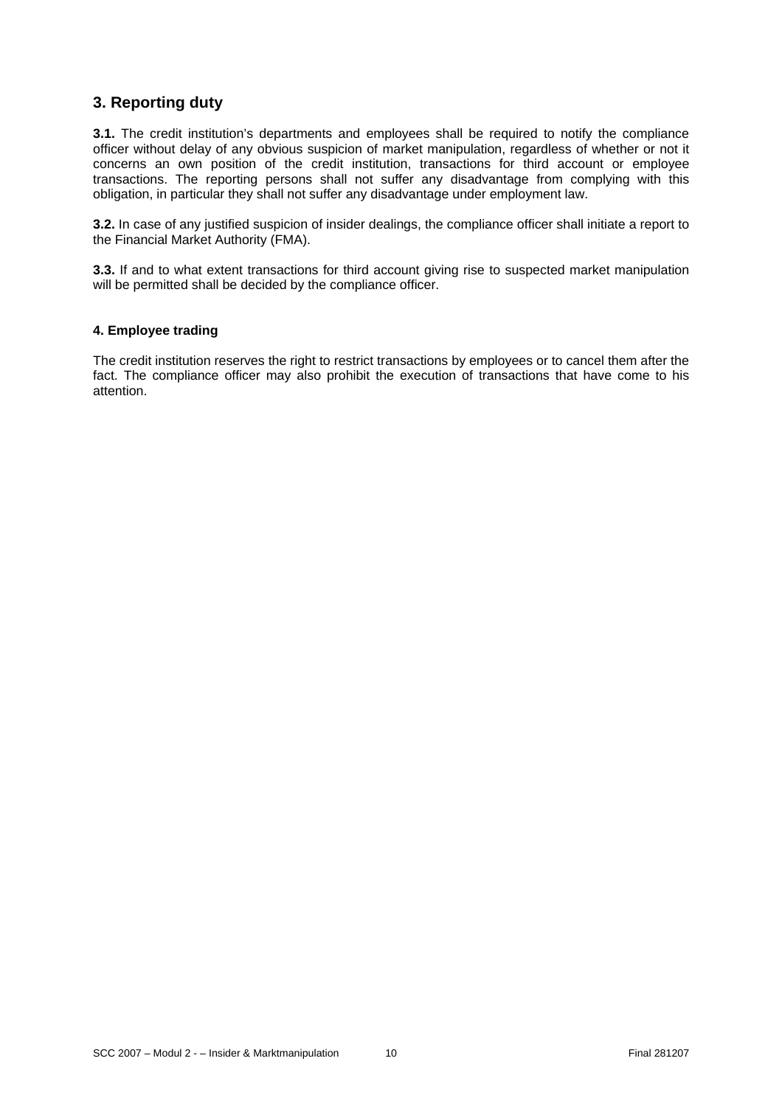# **3. Reporting duty**

**3.1.** The credit institution's departments and employees shall be required to notify the compliance officer without delay of any obvious suspicion of market manipulation, regardless of whether or not it concerns an own position of the credit institution, transactions for third account or employee transactions. The reporting persons shall not suffer any disadvantage from complying with this obligation, in particular they shall not suffer any disadvantage under employment law.

**3.2.** In case of any justified suspicion of insider dealings, the compliance officer shall initiate a report to the Financial Market Authority (FMA).

**3.3.** If and to what extent transactions for third account giving rise to suspected market manipulation will be permitted shall be decided by the compliance officer.

#### **4. Employee trading**

The credit institution reserves the right to restrict transactions by employees or to cancel them after the fact. The compliance officer may also prohibit the execution of transactions that have come to his attention.